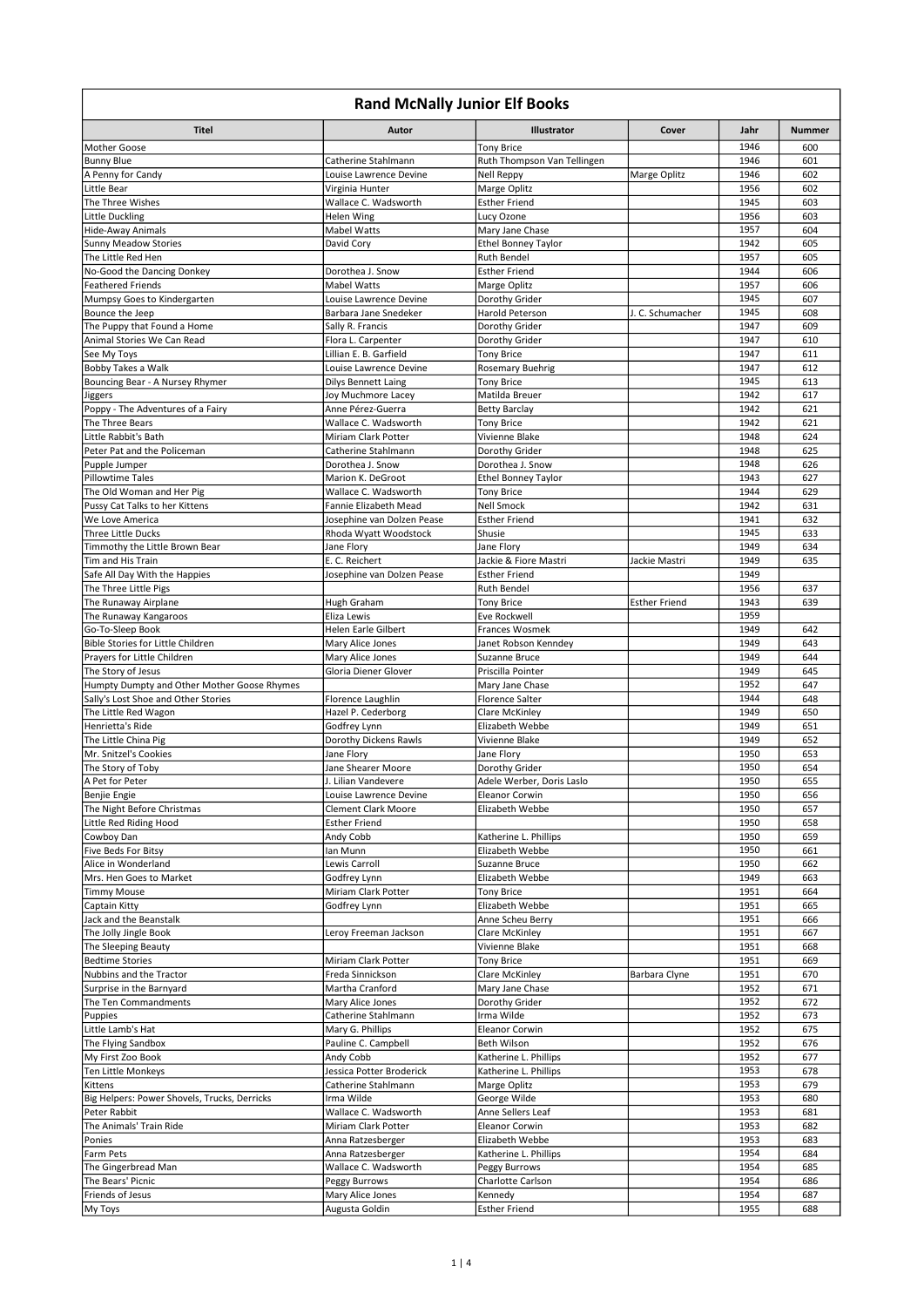| <b>Rand McNally Junior Elf Books</b>                  |                                                 |                                           |                      |              |               |  |
|-------------------------------------------------------|-------------------------------------------------|-------------------------------------------|----------------------|--------------|---------------|--|
| Titel                                                 | Autor                                           | <b>Illustrator</b>                        | Cover                | Jahr         | <b>Nummer</b> |  |
| Mother Goose                                          |                                                 | <b>Tony Brice</b>                         |                      | 1946         | 600           |  |
| <b>Bunny Blue</b>                                     | Catherine Stahlmann                             | Ruth Thompson Van Tellingen               |                      | 1946         | 601           |  |
| A Penny for Candy                                     | Louise Lawrence Devine                          | Nell Reppy                                | Marge Oplitz         | 1946         | 602           |  |
| Little Bear<br>The Three Wishes                       | Virginia Hunter<br>Wallace C. Wadsworth         | Marge Oplitz<br><b>Esther Friend</b>      |                      | 1956<br>1945 | 602<br>603    |  |
| Little Duckling                                       | Helen Wing                                      | Lucy Ozone                                |                      | 1956         | 603           |  |
| Hide-Away Animals                                     | <b>Mabel Watts</b>                              | Mary Jane Chase                           |                      | 1957         | 604           |  |
| <b>Sunny Meadow Stories</b>                           | David Cory                                      | <b>Ethel Bonney Taylor</b>                |                      | 1942         | 605           |  |
| The Little Red Hen                                    |                                                 | Ruth Bendel                               |                      | 1957         | 605           |  |
| No-Good the Dancing Donkey                            | Dorothea J. Snow                                | <b>Esther Friend</b>                      |                      | 1944         | 606           |  |
| <b>Feathered Friends</b>                              | <b>Mabel Watts</b>                              | Marge Oplitz                              |                      | 1957         | 606           |  |
| Mumpsy Goes to Kindergarten<br>Bounce the Jeep        | Louise Lawrence Devine<br>Barbara Jane Snedeker | Dorothy Grider<br>Harold Peterson         | J. C. Schumacher     | 1945<br>1945 | 607<br>608    |  |
| The Puppy that Found a Home                           | Sally R. Francis                                | Dorothy Grider                            |                      | 1947         | 609           |  |
| Animal Stories We Can Read                            | Flora L. Carpenter                              | Dorothy Grider                            |                      | 1947         | 610           |  |
| See My Toys                                           | Lillian E. B. Garfield                          | Tony Brice                                |                      | 1947         | 611           |  |
| Bobby Takes a Walk                                    | Louise Lawrence Devine                          | Rosemary Buehrig                          |                      | 1947         | 612           |  |
| Bouncing Bear - A Nursey Rhymer                       | <b>Dilys Bennett Laing</b>                      | <b>Tony Brice</b>                         |                      | 1945         | 613           |  |
| Jiggers                                               | Joy Muchmore Lacey                              | Matilda Breuer                            |                      | 1942         | 617           |  |
| Poppy - The Adventures of a Fairy<br>The Three Bears  | Anne Pérez-Guerra<br>Wallace C. Wadsworth       | <b>Betty Barclay</b><br><b>Tony Brice</b> |                      | 1942<br>1942 | 621<br>621    |  |
| Little Rabbit's Bath                                  | Miriam Clark Potter                             | Vivienne Blake                            |                      | 1948         | 624           |  |
| Peter Pat and the Policeman                           | Catherine Stahlmann                             | Dorothy Grider                            |                      | 1948         | 625           |  |
| Pupple Jumper                                         | Dorothea J. Snow                                | Dorothea J. Snow                          |                      | 1948         | 626           |  |
| Pillowtime Tales                                      | Marion K. DeGroot                               | <b>Ethel Bonney Taylor</b>                |                      | 1943         | 627           |  |
| The Old Woman and Her Pig                             | Wallace C. Wadsworth                            | <b>Tony Brice</b>                         |                      | 1944         | 629           |  |
| Pussy Cat Talks to her Kittens                        | Fannie Elizabeth Mead                           | <b>Nell Smock</b>                         |                      | 1942         | 631           |  |
| We Love America                                       | Josephine van Dolzen Pease                      | <b>Esther Friend</b>                      |                      | 1941<br>1945 | 632           |  |
| Three Little Ducks<br>Timmothy the Little Brown Bear  | Rhoda Wyatt Woodstock<br>Jane Flory             | Shusie<br>Jane Flory                      |                      | 1949         | 633<br>634    |  |
| Tim and His Train                                     | E. C. Reichert                                  | Jackie & Fiore Mastri                     | Jackie Mastri        | 1949         | 635           |  |
| Safe All Day With the Happies                         | Josephine van Dolzen Pease                      | <b>Esther Friend</b>                      |                      | 1949         |               |  |
| The Three Little Pigs                                 |                                                 | Ruth Bendel                               |                      | 1956         | 637           |  |
| The Runaway Airplane                                  | Hugh Graham                                     | <b>Tony Brice</b>                         | <b>Esther Friend</b> | 1943         | 639           |  |
| The Runaway Kangaroos                                 | Eliza Lewis                                     | Eve Rockwell                              |                      | 1959         |               |  |
| Go-To-Sleep Book<br>Bible Stories for Little Children | Helen Earle Gilbert                             | Frances Wosmek                            |                      | 1949<br>1949 | 642<br>643    |  |
| Prayers for Little Children                           | Mary Alice Jones<br>Mary Alice Jones            | Janet Robson Kenndey<br>Suzanne Bruce     |                      | 1949         | 644           |  |
| The Story of Jesus                                    | Gloria Diener Glover                            | Priscilla Pointer                         |                      | 1949         | 645           |  |
| Humpty Dumpty and Other Mother Goose Rhymes           |                                                 | Mary Jane Chase                           |                      | 1952         | 647           |  |
| Sally's Lost Shoe and Other Stories                   | Florence Laughlin                               | <b>Florence Salter</b>                    |                      | 1944         | 648           |  |
| The Little Red Wagon                                  | Hazel P. Cederborg                              | Clare McKinley                            |                      | 1949         | 650           |  |
| Henrietta's Ride                                      | Godfrey Lynn                                    | Elizabeth Webbe                           |                      | 1949         | 651           |  |
| The Little China Pig<br>Mr. Snitzel's Cookies         | Dorothy Dickens Rawls<br>Jane Flory             | Vivienne Blake<br>Jane Flory              |                      | 1949<br>1950 | 652<br>653    |  |
| The Story of Toby                                     | Jane Shearer Moore                              | Dorothy Grider                            |                      | 1950         | 654           |  |
| A Pet for Peter                                       | J. Lilian Vandevere                             | Adele Werber, Doris Laslo                 |                      | 1950         | 655           |  |
| Benjie Engie                                          | Louise Lawrence Devine                          | Eleanor Corwin                            |                      | 1950         | 656           |  |
| The Night Before Christmas                            | <b>Clement Clark Moore</b>                      | Elizabeth Webbe                           |                      | 1950         | 657           |  |
| Little Red Riding Hood                                | <b>Esther Friend</b>                            |                                           |                      | 1950         | 658           |  |
| Cowboy Dan                                            | Andy Cobb                                       | Katherine L. Phillips                     |                      | 1950         | 659           |  |
| Five Beds For Bitsy<br>Alice in Wonderland            | Ian Munn<br>Lewis Carroll                       | Elizabeth Webbe<br>Suzanne Bruce          |                      | 1950<br>1950 | 661<br>662    |  |
| Mrs. Hen Goes to Market                               | Godfrey Lynn                                    | Elizabeth Webbe                           |                      | 1949         | 663           |  |
| <b>Timmy Mouse</b>                                    | Miriam Clark Potter                             | <b>Tony Brice</b>                         |                      | 1951         | 664           |  |
| Captain Kitty                                         | Godfrey Lynn                                    | Elizabeth Webbe                           |                      | 1951         | 665           |  |
| Jack and the Beanstalk                                |                                                 | Anne Scheu Berry                          |                      | 1951         | 666           |  |
| The Jolly Jingle Book                                 | Leroy Freeman Jackson                           | Clare McKinley                            |                      | 1951         | 667           |  |
| The Sleeping Beauty                                   |                                                 | Vivienne Blake                            |                      | 1951         | 668           |  |
| <b>Bedtime Stories</b><br>Nubbins and the Tractor     | Miriam Clark Potter<br>Freda Sinnickson         | <b>Tony Brice</b><br>Clare McKinley       | Barbara Clyne        | 1951<br>1951 | 669<br>670    |  |
| Surprise in the Barnyard                              | Martha Cranford                                 | Mary Jane Chase                           |                      | 1952         | 671           |  |
| The Ten Commandments                                  | Mary Alice Jones                                | Dorothy Grider                            |                      | 1952         | 672           |  |
| Puppies                                               | Catherine Stahlmann                             | Irma Wilde                                |                      | 1952         | 673           |  |
| Little Lamb's Hat                                     | Mary G. Phillips                                | Eleanor Corwin                            |                      | 1952         | 675           |  |
| The Flying Sandbox                                    | Pauline C. Campbell                             | Beth Wilson                               |                      | 1952         | 676           |  |
| My First Zoo Book                                     | Andy Cobb                                       | Katherine L. Phillips                     |                      | 1952         | 677           |  |
| Ten Little Monkeys<br>Kittens                         | Jessica Potter Broderick<br>Catherine Stahlmann | Katherine L. Phillips<br>Marge Oplitz     |                      | 1953<br>1953 | 678<br>679    |  |
| Big Helpers: Power Shovels, Trucks, Derricks          | Irma Wilde                                      | George Wilde                              |                      | 1953         | 680           |  |
| Peter Rabbit                                          | Wallace C. Wadsworth                            | Anne Sellers Leaf                         |                      | 1953         | 681           |  |
| The Animals' Train Ride                               | Miriam Clark Potter                             | Eleanor Corwin                            |                      | 1953         | 682           |  |
| Ponies                                                | Anna Ratzesberger                               | Elizabeth Webbe                           |                      | 1953         | 683           |  |
| Farm Pets                                             | Anna Ratzesberger                               | Katherine L. Phillips                     |                      | 1954         | 684           |  |
| The Gingerbread Man                                   | Wallace C. Wadsworth                            | Peggy Burrows                             |                      | 1954         | 685           |  |
| The Bears' Picnic<br>Friends of Jesus                 | Peggy Burrows<br>Mary Alice Jones               | Charlotte Carlson<br>Kennedy              |                      | 1954<br>1954 | 686<br>687    |  |
| My Toys                                               | Augusta Goldin                                  | <b>Esther Friend</b>                      |                      | 1955         | 688           |  |
|                                                       |                                                 |                                           |                      |              |               |  |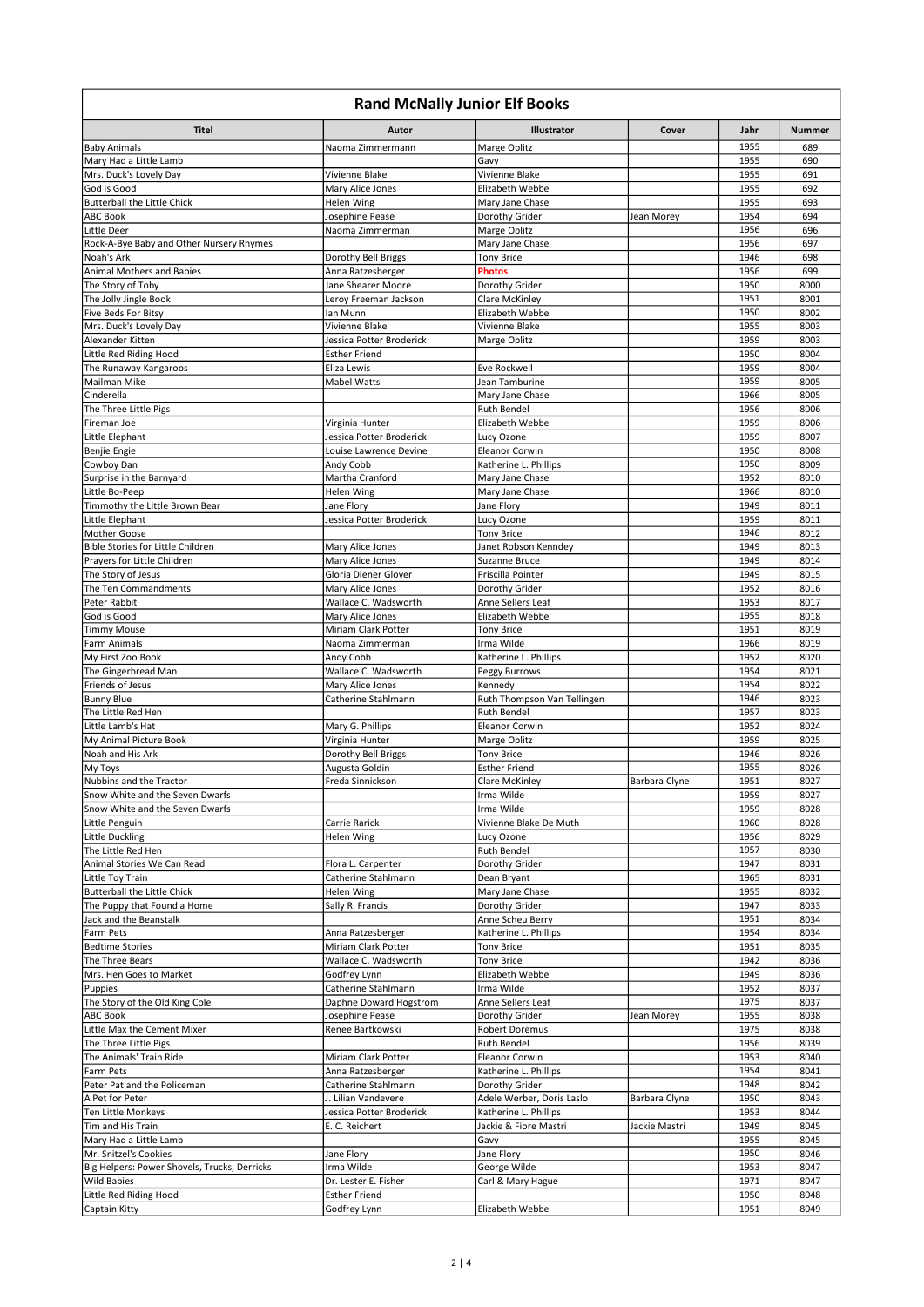| <b>Rand McNally Junior Elf Books</b>                     |                                                 |                                                    |               |              |               |  |
|----------------------------------------------------------|-------------------------------------------------|----------------------------------------------------|---------------|--------------|---------------|--|
| <b>Titel</b>                                             | Autor                                           | Illustrator                                        | Cover         | Jahr         | <b>Nummer</b> |  |
| <b>Baby Animals</b>                                      | Naoma Zimmermann                                | Marge Oplitz                                       |               | 1955         | 689           |  |
| Mary Had a Little Lamb                                   |                                                 | Gavy                                               |               | 1955         | 690           |  |
| Mrs. Duck's Lovely Day                                   | Vivienne Blake                                  | Vivienne Blake                                     |               | 1955         | 691           |  |
| God is Good                                              | Mary Alice Jones                                | Elizabeth Webbe                                    |               | 1955         | 692           |  |
| <b>Butterball the Little Chick</b>                       | Helen Wing                                      | Mary Jane Chase                                    |               | 1955         | 693           |  |
| <b>ABC Book</b><br>Little Deer                           | Josephine Pease<br>Naoma Zimmerman              | Dorothy Grider<br>Marge Oplitz                     | Jean Morey    | 1954<br>1956 | 694<br>696    |  |
| Rock-A-Bye Baby and Other Nursery Rhymes                 |                                                 | Mary Jane Chase                                    |               | 1956         | 697           |  |
| Noah's Ark                                               | Dorothy Bell Briggs                             | <b>Tony Brice</b>                                  |               | 1946         | 698           |  |
| Animal Mothers and Babies                                | Anna Ratzesberger                               | <b>Photos</b>                                      |               | 1956         | 699           |  |
| The Story of Toby                                        | Jane Shearer Moore                              | Dorothy Grider                                     |               | 1950         | 8000          |  |
| The Jolly Jingle Book                                    | Leroy Freeman Jackson                           | Clare McKinley                                     |               | 1951         | 8001          |  |
| Five Beds For Bitsy                                      | Ian Munn                                        | Elizabeth Webbe                                    |               | 1950         | 8002          |  |
| Mrs. Duck's Lovely Day                                   | Vivienne Blake                                  | Vivienne Blake                                     |               | 1955         | 8003          |  |
| Alexander Kitten                                         | Jessica Potter Broderick                        | Marge Oplitz                                       |               | 1959         | 8003          |  |
| Little Red Riding Hood                                   | <b>Esther Friend</b>                            |                                                    |               | 1950         | 8004          |  |
| The Runaway Kangaroos<br>Mailman Mike                    | Eliza Lewis<br><b>Mabel Watts</b>               | Eve Rockwell<br>Jean Tamburine                     |               | 1959<br>1959 | 8004<br>8005  |  |
| Cinderella                                               |                                                 | Mary Jane Chase                                    |               | 1966         | 8005          |  |
| The Three Little Pigs                                    |                                                 | <b>Ruth Bendel</b>                                 |               | 1956         | 8006          |  |
| Fireman Joe                                              | Virginia Hunter                                 | Elizabeth Webbe                                    |               | 1959         | 8006          |  |
| Little Elephant                                          | Jessica Potter Broderick                        | Lucy Ozone                                         |               | 1959         | 8007          |  |
| Benjie Engie                                             | Louise Lawrence Devine                          | <b>Eleanor Corwin</b>                              |               | 1950         | 8008          |  |
| Cowboy Dan                                               | Andy Cobb                                       | Katherine L. Phillips                              |               | 1950         | 8009          |  |
| Surprise in the Barnyard                                 | Martha Cranford                                 | Mary Jane Chase                                    |               | 1952         | 8010          |  |
| Little Bo-Peep                                           | Helen Wing                                      | Mary Jane Chase                                    |               | 1966         | 8010          |  |
| Timmothy the Little Brown Bear                           | Jane Flory                                      | Jane Flory                                         |               | 1949         | 8011          |  |
| Little Elephant                                          | Jessica Potter Broderick                        | Lucy Ozone                                         |               | 1959         | 8011          |  |
| <b>Mother Goose</b><br>Bible Stories for Little Children |                                                 | <b>Tony Brice</b>                                  |               | 1946<br>1949 | 8012<br>8013  |  |
| Prayers for Little Children                              | Mary Alice Jones<br>Mary Alice Jones            | Janet Robson Kenndey<br>Suzanne Bruce              |               | 1949         | 8014          |  |
| The Story of Jesus                                       | Gloria Diener Glover                            | Priscilla Pointer                                  |               | 1949         | 8015          |  |
| The Ten Commandments                                     | Mary Alice Jones                                | Dorothy Grider                                     |               | 1952         | 8016          |  |
| Peter Rabbit                                             | Wallace C. Wadsworth                            | Anne Sellers Leaf                                  |               | 1953         | 8017          |  |
| God is Good                                              | Mary Alice Jones                                | Elizabeth Webbe                                    |               | 1955         | 8018          |  |
| <b>Timmy Mouse</b>                                       | Miriam Clark Potter                             | <b>Tony Brice</b>                                  |               | 1951         | 8019          |  |
| Farm Animals                                             | Naoma Zimmerman                                 | Irma Wilde                                         |               | 1966         | 8019          |  |
| My First Zoo Book                                        | Andy Cobb                                       | Katherine L. Phillips                              |               | 1952         | 8020          |  |
| The Gingerbread Man                                      | Wallace C. Wadsworth                            | Peggy Burrows                                      |               | 1954         | 8021          |  |
| Friends of Jesus                                         | Mary Alice Jones<br>Catherine Stahlmann         | Kennedy                                            |               | 1954         | 8022<br>8023  |  |
| <b>Bunny Blue</b><br>The Little Red Hen                  |                                                 | Ruth Thompson Van Tellingen<br><b>Ruth Bendel</b>  |               | 1946<br>1957 | 8023          |  |
| Little Lamb's Hat                                        | Mary G. Phillips                                | <b>Eleanor Corwin</b>                              |               | 1952         | 8024          |  |
| My Animal Picture Book                                   | Virginia Hunter                                 | Marge Oplitz                                       |               | 1959         | 8025          |  |
| Noah and His Ark                                         | Dorothy Bell Briggs                             | <b>Tony Brice</b>                                  |               | 1946         | 8026          |  |
| My Toys                                                  | Augusta Goldin                                  | <b>Esther Friend</b>                               |               | 1955         | 8026          |  |
| Nubbins and the Tractor                                  | Freda Sinnickson                                | Clare McKinley                                     | Barbara Clyne | 1951         | 8027          |  |
| Snow White and the Seven Dwarfs                          |                                                 | Irma Wilde                                         |               | 1959         | 8027          |  |
| Snow White and the Seven Dwarfs                          |                                                 | Irma Wilde                                         |               | 1959         | 8028          |  |
| Little Penguin<br>Little Duckling                        | Carrie Rarick<br>Helen Wing                     | Vivienne Blake De Muth<br>Lucy Ozone               |               | 1960<br>1956 | 8028<br>8029  |  |
| The Little Red Hen                                       |                                                 | Ruth Bendel                                        |               | 1957         | 8030          |  |
| Animal Stories We Can Read                               | Flora L. Carpenter                              | Dorothy Grider                                     |               | 1947         | 8031          |  |
| Little Toy Train                                         | Catherine Stahlmann                             | Dean Bryant                                        |               | 1965         | 8031          |  |
| <b>Butterball the Little Chick</b>                       | Helen Wing                                      | Mary Jane Chase                                    |               | 1955         | 8032          |  |
| The Puppy that Found a Home                              | Sally R. Francis                                | Dorothy Grider                                     |               | 1947         | 8033          |  |
| Jack and the Beanstalk                                   |                                                 | Anne Scheu Berry                                   |               | 1951         | 8034          |  |
| Farm Pets                                                | Anna Ratzesberger                               | Katherine L. Phillips                              |               | 1954         | 8034          |  |
| <b>Bedtime Stories</b>                                   | Miriam Clark Potter<br>Wallace C. Wadsworth     | <b>Tony Brice</b>                                  |               | 1951         | 8035          |  |
| The Three Bears<br>Mrs. Hen Goes to Market               | Godfrey Lynn                                    | <b>Tony Brice</b><br>Elizabeth Webbe               |               | 1942<br>1949 | 8036<br>8036  |  |
| Puppies                                                  | Catherine Stahlmann                             | Irma Wilde                                         |               | 1952         | 8037          |  |
| The Story of the Old King Cole                           | Daphne Doward Hogstrom                          | Anne Sellers Leaf                                  |               | 1975         | 8037          |  |
| ABC Book                                                 | Josephine Pease                                 | Dorothy Grider                                     | Jean Morey    | 1955         | 8038          |  |
| Little Max the Cement Mixer                              | Renee Bartkowski                                | Robert Doremus                                     |               | 1975         | 8038          |  |
| The Three Little Pigs                                    |                                                 | Ruth Bendel                                        |               | 1956         | 8039          |  |
| The Animals' Train Ride                                  | Miriam Clark Potter                             | Eleanor Corwin                                     |               | 1953         | 8040          |  |
| Farm Pets                                                | Anna Ratzesberger                               | Katherine L. Phillips                              |               | 1954         | 8041          |  |
| Peter Pat and the Policeman                              | Catherine Stahlmann                             | Dorothy Grider                                     |               | 1948         | 8042          |  |
| A Pet for Peter<br>Ten Little Monkeys                    | J. Lilian Vandevere<br>Jessica Potter Broderick | Adele Werber, Doris Laslo<br>Katherine L. Phillips | Barbara Clyne | 1950<br>1953 | 8043<br>8044  |  |
| Tim and His Train                                        | E. C. Reichert                                  | Jackie & Fiore Mastri                              | Jackie Mastri | 1949         | 8045          |  |
| Mary Had a Little Lamb                                   |                                                 | Gavy                                               |               | 1955         | 8045          |  |
| Mr. Snitzel's Cookies                                    | Jane Flory                                      | Jane Flory                                         |               | 1950         | 8046          |  |
| Big Helpers: Power Shovels, Trucks, Derricks             | Irma Wilde                                      | George Wilde                                       |               | 1953         | 8047          |  |
| Wild Babies                                              | Dr. Lester E. Fisher                            | Carl & Mary Hague                                  |               | 1971         | 8047          |  |
| Little Red Riding Hood                                   | <b>Esther Friend</b>                            |                                                    |               | 1950         | 8048          |  |
| Captain Kitty                                            | Godfrey Lynn                                    | Elizabeth Webbe                                    |               | 1951         | 8049          |  |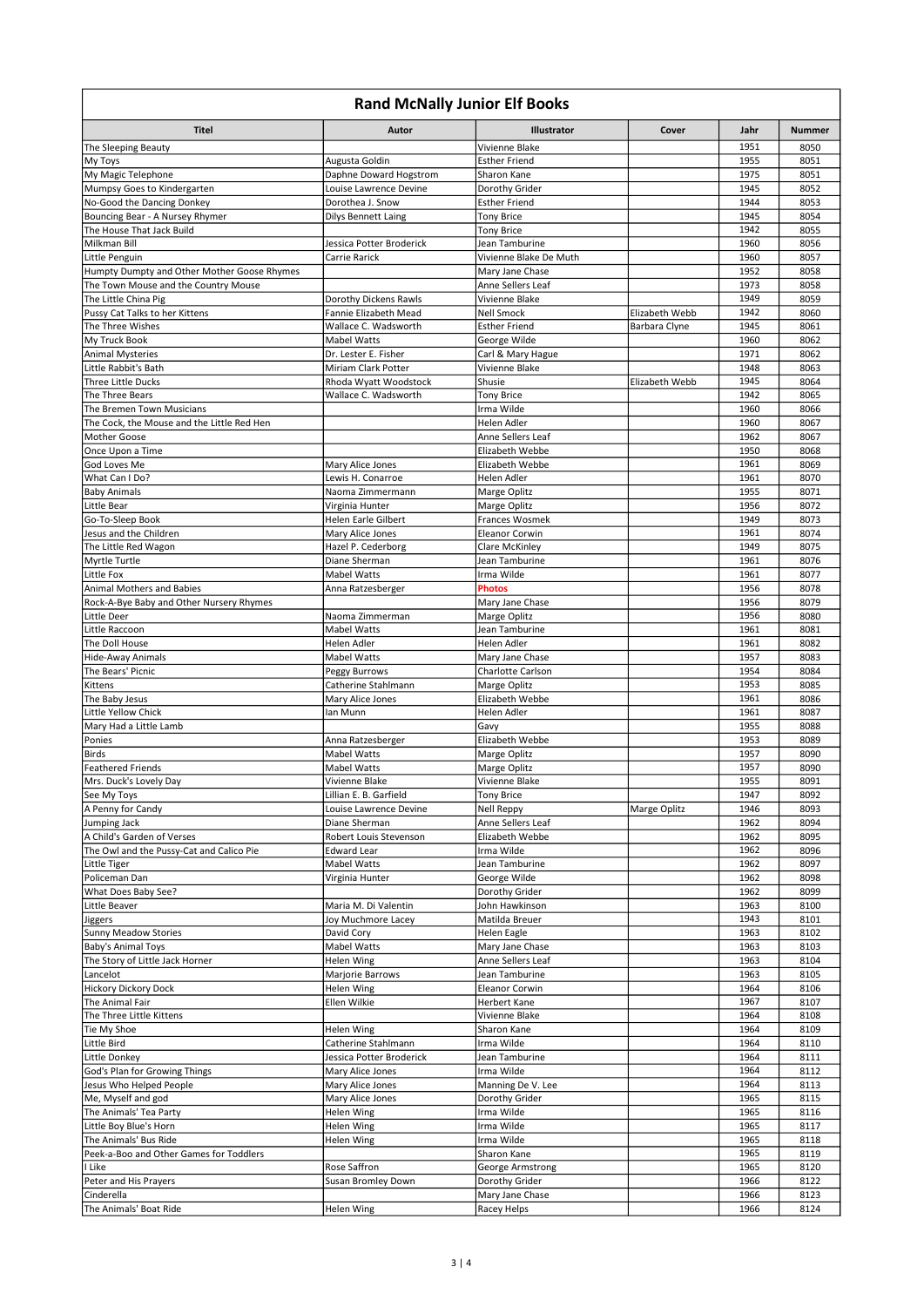| <b>Rand McNally Junior Elf Books</b>                         |                                               |                                        |                |              |               |
|--------------------------------------------------------------|-----------------------------------------------|----------------------------------------|----------------|--------------|---------------|
| <b>Titel</b>                                                 | Autor                                         | Illustrator                            | Cover          | Jahr         | <b>Nummer</b> |
| The Sleeping Beauty                                          |                                               | Vivienne Blake                         |                | 1951         | 8050          |
| My Toys                                                      | Augusta Goldin                                | <b>Esther Friend</b>                   |                | 1955         | 8051          |
| My Magic Telephone                                           | Daphne Doward Hogstrom                        | Sharon Kane                            |                | 1975         | 8051          |
| Mumpsy Goes to Kindergarten                                  | Louise Lawrence Devine                        | Dorothy Grider                         |                | 1945         | 8052          |
| No-Good the Dancing Donkey                                   | Dorothea J. Snow                              | <b>Esther Friend</b>                   |                | 1944         | 8053          |
| Bouncing Bear - A Nursey Rhymer<br>The House That Jack Build | <b>Dilys Bennett Laing</b>                    | <b>Tony Brice</b><br><b>Tony Brice</b> |                | 1945<br>1942 | 8054<br>8055  |
| Milkman Bill                                                 | Jessica Potter Broderick                      | Jean Tamburine                         |                | 1960         | 8056          |
| Little Penguin                                               | Carrie Rarick                                 | Vivienne Blake De Muth                 |                | 1960         | 8057          |
| Humpty Dumpty and Other Mother Goose Rhymes                  |                                               | Mary Jane Chase                        |                | 1952         | 8058          |
| The Town Mouse and the Country Mouse                         |                                               | Anne Sellers Leaf                      |                | 1973         | 8058          |
| The Little China Pig                                         | Dorothy Dickens Rawls                         | Vivienne Blake                         |                | 1949         | 8059          |
| Pussy Cat Talks to her Kittens                               | Fannie Elizabeth Mead                         | Nell Smock                             | Elizabeth Webb | 1942         | 8060          |
| The Three Wishes                                             | Wallace C. Wadsworth                          | <b>Esther Friend</b>                   | Barbara Clyne  | 1945         | 8061          |
| My Truck Book                                                | <b>Mabel Watts</b>                            | George Wilde                           |                | 1960         | 8062          |
| <b>Animal Mysteries</b>                                      | Dr. Lester E. Fisher                          | Carl & Mary Hague                      |                | 1971         | 8062          |
| Little Rabbit's Bath                                         | Miriam Clark Potter                           | Vivienne Blake                         |                | 1948         | 8063          |
| Three Little Ducks<br>The Three Bears                        | Rhoda Wyatt Woodstock<br>Wallace C. Wadsworth | Shusie<br><b>Tony Brice</b>            | Elizabeth Webb | 1945<br>1942 | 8064<br>8065  |
| The Bremen Town Musicians                                    |                                               | Irma Wilde                             |                | 1960         | 8066          |
| The Cock, the Mouse and the Little Red Hen                   |                                               | Helen Adler                            |                | 1960         | 8067          |
| Mother Goose                                                 |                                               | Anne Sellers Leaf                      |                | 1962         | 8067          |
| Once Upon a Time                                             |                                               | Elizabeth Webbe                        |                | 1950         | 8068          |
| God Loves Me                                                 | Mary Alice Jones                              | Elizabeth Webbe                        |                | 1961         | 8069          |
| What Can I Do?                                               | Lewis H. Conarroe                             | Helen Adler                            |                | 1961         | 8070          |
| <b>Baby Animals</b>                                          | Naoma Zimmermann                              | Marge Oplitz                           |                | 1955         | 8071          |
| Little Bear                                                  | Virginia Hunter                               | Marge Oplitz                           |                | 1956         | 8072          |
| Go-To-Sleep Book                                             | Helen Earle Gilbert                           | <b>Frances Wosmek</b>                  |                | 1949         | 8073          |
| Jesus and the Children                                       | Mary Alice Jones                              | <b>Eleanor Corwin</b>                  |                | 1961         | 8074          |
| The Little Red Wagon<br>Myrtle Turtle                        | Hazel P. Cederborg<br>Diane Sherman           | Clare McKinley<br>Jean Tamburine       |                | 1949<br>1961 | 8075<br>8076  |
| Little Fox                                                   | <b>Mabel Watts</b>                            | Irma Wilde                             |                | 1961         | 8077          |
| Animal Mothers and Babies                                    | Anna Ratzesberger                             | <b>Photos</b>                          |                | 1956         | 8078          |
| Rock-A-Bye Baby and Other Nursery Rhymes                     |                                               | Mary Jane Chase                        |                | 1956         | 8079          |
| Little Deer                                                  | Naoma Zimmerman                               | Marge Oplitz                           |                | 1956         | 8080          |
| Little Raccoon                                               | Mabel Watts                                   | Jean Tamburine                         |                | 1961         | 8081          |
| The Doll House                                               | Helen Adler                                   | Helen Adler                            |                | 1961         | 8082          |
| Hide-Away Animals                                            | Mabel Watts                                   | Mary Jane Chase                        |                | 1957         | 8083          |
| The Bears' Picnic                                            | Peggy Burrows                                 | Charlotte Carlson                      |                | 1954         | 8084          |
| Kittens                                                      | Catherine Stahlmann                           | Marge Oplitz                           |                | 1953         | 8085          |
| The Baby Jesus<br>Little Yellow Chick                        | Mary Alice Jones                              | Elizabeth Webbe<br>Helen Adler         |                | 1961<br>1961 | 8086          |
| Mary Had a Little Lamb                                       | lan Munn                                      | Gavy                                   |                | 1955         | 8087<br>8088  |
| Ponies                                                       | Anna Ratzesberger                             | Elizabeth Webbe                        |                | 1953         | 8089          |
| Birds                                                        | Mabel Watts                                   | Marge Oplitz                           |                | 1957         | 8090          |
| <b>Feathered Friends</b>                                     | <b>Mabel Watts</b>                            | Marge Oplitz                           |                | 1957         | 8090          |
| Mrs. Duck's Lovely Day                                       | Vivienne Blake                                | Vivienne Blake                         |                | 1955         | 8091          |
| See My Toys                                                  | Lillian E. B. Garfield                        | <b>Tony Brice</b>                      |                | 1947         | 8092          |
| A Penny for Candy                                            | Louise Lawrence Devine                        | <b>Nell Reppy</b>                      | Marge Oplitz   | 1946         | 8093          |
| Jumping Jack                                                 | Diane Sherman                                 | Anne Sellers Leaf                      |                | 1962         | 8094          |
| A Child's Garden of Verses                                   | Robert Louis Stevenson                        | Elizabeth Webbe                        |                | 1962         | 8095          |
| The Owl and the Pussy-Cat and Calico Pie<br>Little Tiger     | <b>Edward Lear</b><br>Mabel Watts             | Irma Wilde<br>Jean Tamburine           |                | 1962<br>1962 | 8096<br>8097  |
| Policeman Dan                                                | Virginia Hunter                               | George Wilde                           |                | 1962         | 8098          |
| What Does Baby See?                                          |                                               | Dorothy Grider                         |                | 1962         | 8099          |
| Little Beaver                                                | Maria M. Di Valentin                          | John Hawkinson                         |                | 1963         | 8100          |
| Jiggers                                                      | Joy Muchmore Lacey                            | Matilda Breuer                         |                | 1943         | 8101          |
| <b>Sunny Meadow Stories</b>                                  | David Cory                                    | Helen Eagle                            |                | 1963         | 8102          |
| Baby's Animal Toys                                           | Mabel Watts                                   | Mary Jane Chase                        |                | 1963         | 8103          |
| The Story of Little Jack Horner                              | Helen Wing                                    | Anne Sellers Leaf                      |                | 1963         | 8104          |
| Lancelot                                                     | Marjorie Barrows                              | Jean Tamburine                         |                | 1963         | 8105          |
| <b>Hickory Dickory Dock</b>                                  | Helen Wing                                    | Eleanor Corwin                         |                | 1964         | 8106          |
| The Animal Fair<br>The Three Little Kittens                  | Ellen Wilkie                                  | Herbert Kane<br>Vivienne Blake         |                | 1967<br>1964 | 8107<br>8108  |
| Tie My Shoe                                                  | Helen Wing                                    | Sharon Kane                            |                | 1964         | 8109          |
| Little Bird                                                  | Catherine Stahlmann                           | Irma Wilde                             |                | 1964         | 8110          |
| Little Donkey                                                | Jessica Potter Broderick                      | Jean Tamburine                         |                | 1964         | 8111          |
| God's Plan for Growing Things                                | Mary Alice Jones                              | Irma Wilde                             |                | 1964         | 8112          |
| Jesus Who Helped People                                      | Mary Alice Jones                              | Manning De V. Lee                      |                | 1964         | 8113          |
| Me, Myself and god                                           | Mary Alice Jones                              | Dorothy Grider                         |                | 1965         | 8115          |
| The Animals' Tea Party                                       | Helen Wing                                    | Irma Wilde                             |                | 1965         | 8116          |
| Little Boy Blue's Horn                                       | Helen Wing                                    | Irma Wilde                             |                | 1965         | 8117          |
| The Animals' Bus Ride                                        | Helen Wing                                    | Irma Wilde                             |                | 1965         | 8118          |
| Peek-a-Boo and Other Games for Toddlers                      |                                               | Sharon Kane                            |                | 1965         | 8119          |
| I Like<br>Peter and His Prayers                              | Rose Saffron<br>Susan Bromley Down            | George Armstrong<br>Dorothy Grider     |                | 1965<br>1966 | 8120<br>8122  |
| Cinderella                                                   |                                               | Mary Jane Chase                        |                | 1966         | 8123          |
| The Animals' Boat Ride                                       | Helen Wing                                    | Racey Helps                            |                | 1966         | 8124          |